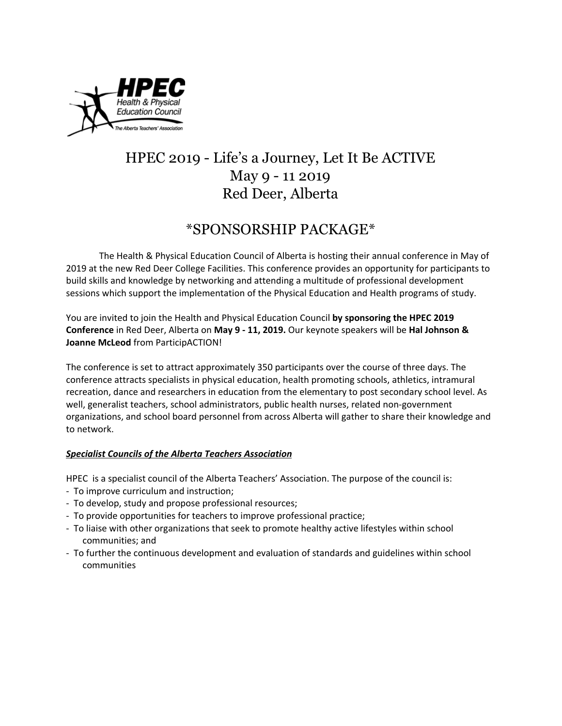

# HPEC 2019 - Life's a Journey, Let It Be ACTIVE May 9 - 11 2019 Red Deer, Alberta

## \*SPONSORSHIP PACKAGE\*

The Health & Physical Education Council of Alberta is hosting their annual conference in May of 2019 at the new Red Deer College Facilities. This conference provides an opportunity for participants to build skills and knowledge by networking and attending a multitude of professional development sessions which support the implementation of the Physical Education and Health programs of study.

You are invited to join the Health and Physical Education Council **by sponsoring the HPEC 2019 Conference** in Red Deer, Alberta on **May 9 - 11, 2019.** Our keynote speakers will be **Hal Johnson & Joanne McLeod** from ParticipACTION!

The conference is set to attract approximately 350 participants over the course of three days. The conference attracts specialists in physical education, health promoting schools, athletics, intramural recreation, dance and researchers in education from the elementary to post secondary school level. As well, generalist teachers, school administrators, public health nurses, related non-government organizations, and school board personnel from across Alberta will gather to share their knowledge and to network.

## *Specialist Councils of the Alberta Teachers Association*

HPEC is a specialist council of the Alberta Teachers' Association. The purpose of the council is:

- To improve curriculum and instruction;
- To develop, study and propose professional resources;
- To provide opportunities for teachers to improve professional practice;
- To liaise with other organizations that seek to promote healthy active lifestyles within school communities; and
- To further the continuous development and evaluation of standards and guidelines within school communities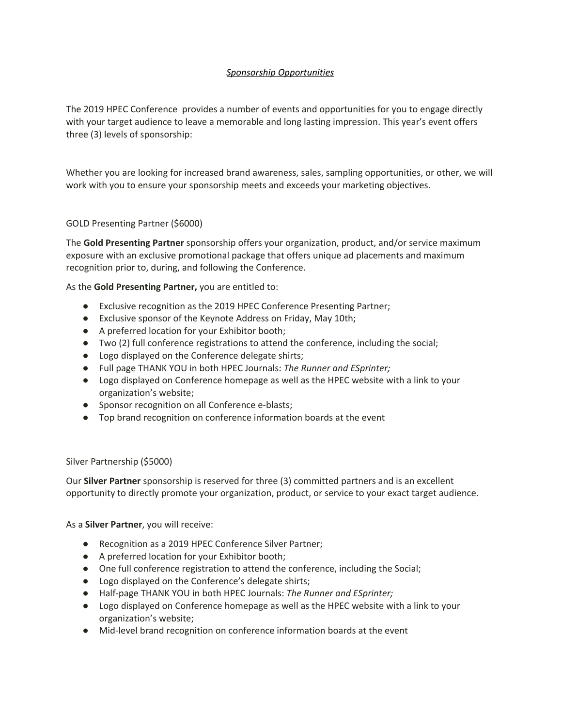## *Sponsorship Opportunities*

The 2019 HPEC Conference provides a number of events and opportunities for you to engage directly with your target audience to leave a memorable and long lasting impression. This year's event offers three (3) levels of sponsorship:

Whether you are looking for increased brand awareness, sales, sampling opportunities, or other, we will work with you to ensure your sponsorship meets and exceeds your marketing objectives.

#### GOLD Presenting Partner (\$6000)

The **Gold Presenting Partner** sponsorship offers your organization, product, and/or service maximum exposure with an exclusive promotional package that offers unique ad placements and maximum recognition prior to, during, and following the Conference.

As the **Gold Presenting Partner,** you are entitled to:

- Exclusive recognition as the 2019 HPEC Conference Presenting Partner;
- Exclusive sponsor of the Keynote Address on Friday, May 10th;
- A preferred location for your Exhibitor booth;
- Two (2) full conference registrations to attend the conference, including the social;
- Logo displayed on the Conference delegate shirts;
- Full page THANK YOU in both HPEC Journals: *The Runner and ESprinter;*
- Logo displayed on Conference homepage as well as the HPEC website with a link to your organization's website;
- Sponsor recognition on all Conference e-blasts;
- Top brand recognition on conference information boards at the event

#### Silver Partnership (\$5000)

Our **Silver Partner** sponsorship is reserved for three (3) committed partners and is an excellent opportunity to directly promote your organization, product, or service to your exact target audience.

As a **Silver Partner**, you will receive:

- Recognition as a 2019 HPEC Conference Silver Partner;
- A preferred location for your Exhibitor booth;
- One full conference registration to attend the conference, including the Social;
- Logo displayed on the Conference's delegate shirts;
- Half-page THANK YOU in both HPEC Journals: *The Runner and ESprinter;*
- Logo displayed on Conference homepage as well as the HPEC website with a link to your organization's website;
- Mid-level brand recognition on conference information boards at the event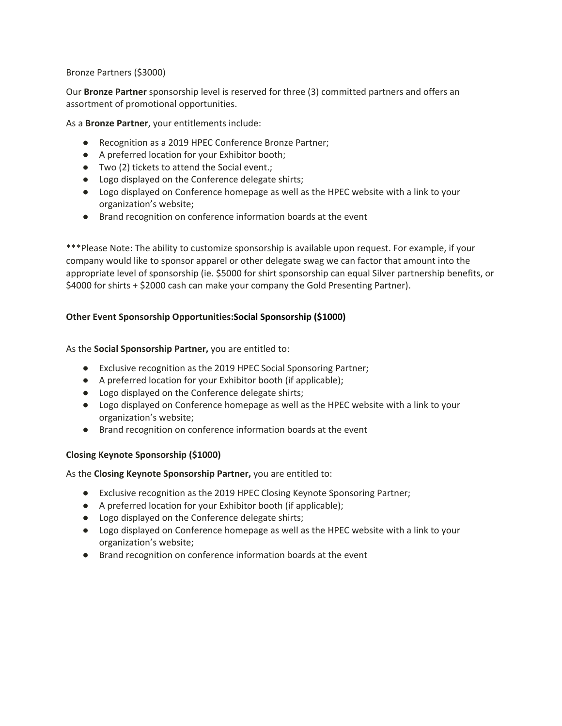#### Bronze Partners (\$3000)

Our **Bronze Partner** sponsorship level is reserved for three (3) committed partners and offers an assortment of promotional opportunities.

As a **Bronze Partner**, your entitlements include:

- Recognition as a 2019 HPEC Conference Bronze Partner;
- A preferred location for your Exhibitor booth;
- Two (2) tickets to attend the Social event.;
- Logo displayed on the Conference delegate shirts;
- Logo displayed on Conference homepage as well as the HPEC website with a link to your organization's website;
- Brand recognition on conference information boards at the event

\*\*\*Please Note: The ability to customize sponsorship is available upon request. For example, if your company would like to sponsor apparel or other delegate swag we can factor that amount into the appropriate level of sponsorship (ie. \$5000 for shirt sponsorship can equal Silver partnership benefits, or \$4000 for shirts + \$2000 cash can make your company the Gold Presenting Partner).

### **Other Event Sponsorship Opportunities:Social Sponsorship (\$1000)**

As the **Social Sponsorship Partner,** you are entitled to:

- Exclusive recognition as the 2019 HPEC Social Sponsoring Partner;
- A preferred location for your Exhibitor booth (if applicable);
- Logo displayed on the Conference delegate shirts;
- Logo displayed on Conference homepage as well as the HPEC website with a link to your organization's website;
- Brand recognition on conference information boards at the event

#### **Closing Keynote Sponsorship (\$1000)**

As the **Closing Keynote Sponsorship Partner,** you are entitled to:

- Exclusive recognition as the 2019 HPEC Closing Keynote Sponsoring Partner;
- A preferred location for your Exhibitor booth (if applicable);
- Logo displayed on the Conference delegate shirts;
- Logo displayed on Conference homepage as well as the HPEC website with a link to your organization's website;
- Brand recognition on conference information boards at the event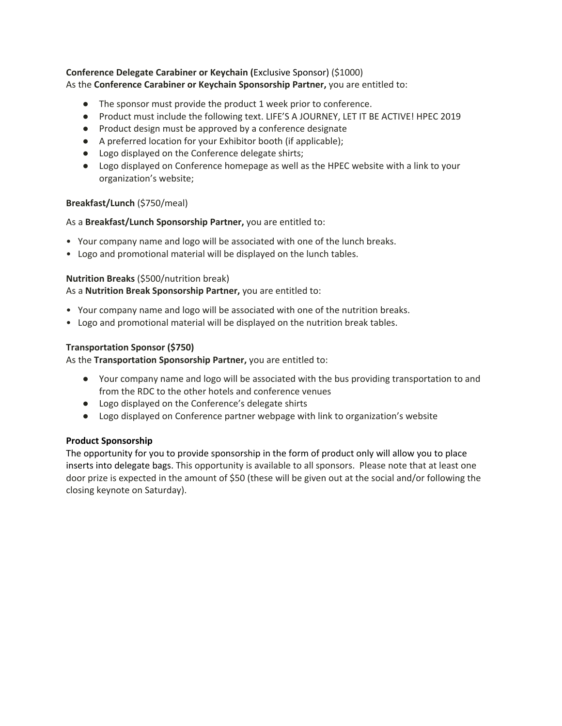#### **Conference Delegate Carabiner or Keychain (**Exclusive Sponsor) (\$1000) As the **Conference Carabiner or Keychain Sponsorship Partner,** you are entitled to:

- The sponsor must provide the product 1 week prior to conference.
- Product must include the following text. LIFE'S A JOURNEY, LET IT BE ACTIVE! HPEC 2019
- Product design must be approved by a conference designate
- A preferred location for your Exhibitor booth (if applicable);
- Logo displayed on the Conference delegate shirts;
- Logo displayed on Conference homepage as well as the HPEC website with a link to your organization's website;

#### **Breakfast/Lunch** (\$750/meal)

#### As a **Breakfast/Lunch Sponsorship Partner,** you are entitled to:

- Your company name and logo will be associated with one of the lunch breaks.
- Logo and promotional material will be displayed on the lunch tables.

#### **Nutrition Breaks** (\$500/nutrition break)

As a **Nutrition Break Sponsorship Partner,** you are entitled to:

- Your company name and logo will be associated with one of the nutrition breaks.
- Logo and promotional material will be displayed on the nutrition break tables.

#### **Transportation Sponsor (\$750)**

As the **Transportation Sponsorship Partner,** you are entitled to:

- Your company name and logo will be associated with the bus providing transportation to and from the RDC to the other hotels and conference venues
- Logo displayed on the Conference's delegate shirts
- Logo displayed on Conference partner webpage with link to organization's website

#### **Product Sponsorship**

The opportunity for you to provide sponsorship in the form of product only will allow you to place inserts into delegate bags. This opportunity is available to all sponsors. Please note that at least one door prize is expected in the amount of \$50 (these will be given out at the social and/or following the closing keynote on Saturday).